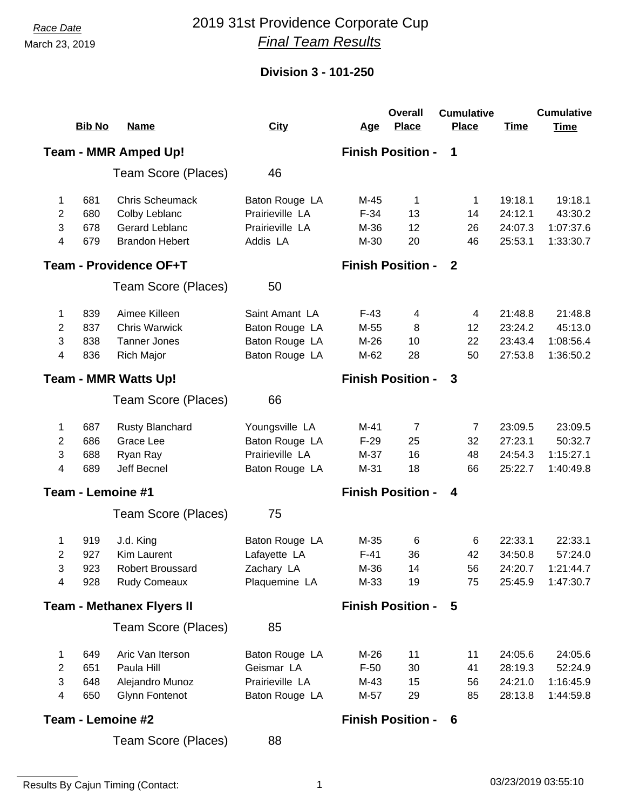March 23, 2019

## *Race Date* 2019 31st Providence Corporate Cup *Final Team Results*

## **Division 3 - 101-250**

|                                  |               |                        |                 |            | <b>Overall</b>           | <b>Cumulative</b> |             | <b>Cumulative</b> |
|----------------------------------|---------------|------------------------|-----------------|------------|--------------------------|-------------------|-------------|-------------------|
|                                  | <b>Bib No</b> | <b>Name</b>            | <b>City</b>     | <u>Age</u> | <b>Place</b>             | <b>Place</b>      | <b>Time</b> | <b>Time</b>       |
|                                  |               | Team - MMR Amped Up!   |                 |            | <b>Finish Position -</b> | 1                 |             |                   |
|                                  |               | Team Score (Places)    | 46              |            |                          |                   |             |                   |
| 1                                | 681           | <b>Chris Scheumack</b> | Baton Rouge LA  | M-45       | 1                        | 1                 | 19:18.1     | 19:18.1           |
| 2                                | 680           | Colby Leblanc          | Prairieville LA | $F-34$     | 13                       | 14                | 24:12.1     | 43:30.2           |
| 3                                | 678           | Gerard Leblanc         | Prairieville LA | M-36       | 12                       | 26                | 24:07.3     | 1:07:37.6         |
| 4                                | 679           | <b>Brandon Hebert</b>  | Addis LA        | M-30       | 20                       | 46                | 25:53.1     | 1:33:30.7         |
| <b>Team - Providence OF+T</b>    |               |                        |                 |            | <b>Finish Position -</b> | -2                |             |                   |
|                                  |               | Team Score (Places)    | 50              |            |                          |                   |             |                   |
| 1.                               | 839           | Aimee Killeen          | Saint Amant LA  | $F-43$     | 4                        | 4                 | 21:48.8     | 21:48.8           |
| 2                                | 837           | <b>Chris Warwick</b>   | Baton Rouge LA  | M-55       | 8                        | 12                | 23:24.2     | 45:13.0           |
| 3                                | 838           | <b>Tanner Jones</b>    | Baton Rouge LA  | $M-26$     | 10                       | 22                | 23:43.4     | 1:08:56.4         |
| 4                                | 836           | <b>Rich Major</b>      | Baton Rouge LA  | M-62       | 28                       | 50                | 27:53.8     | 1:36:50.2         |
| <b>Team - MMR Watts Up!</b>      |               |                        |                 |            | <b>Finish Position -</b> | 3                 |             |                   |
|                                  |               | Team Score (Places)    | 66              |            |                          |                   |             |                   |
| 1                                | 687           | <b>Rusty Blanchard</b> | Youngsville LA  | $M-41$     | 7                        | $\overline{7}$    | 23:09.5     | 23:09.5           |
| 2                                | 686           | Grace Lee              | Baton Rouge LA  | $F-29$     | 25                       | 32                | 27:23.1     | 50:32.7           |
| 3                                | 688           | Ryan Ray               | Prairieville LA | $M-37$     | 16                       | 48                | 24:54.3     | 1:15:27.1         |
| 4                                | 689           | Jeff Becnel            | Baton Rouge LA  | M-31       | 18                       | 66                | 25:22.7     | 1:40:49.8         |
| Team - Lemoine #1                |               |                        |                 |            | <b>Finish Position -</b> | 4                 |             |                   |
|                                  |               | Team Score (Places)    | 75              |            |                          |                   |             |                   |
| 1                                | 919           | J.d. King              | Baton Rouge LA  | $M-35$     | 6                        | 6                 | 22:33.1     | 22:33.1           |
| 2                                | 927           | Kim Laurent            | Lafayette LA    | $F-41$     | 36                       | 42                | 34:50.8     | 57:24.0           |
| 3                                | 923           | Robert Broussard       | Zachary LA      | M-36       | 14                       | 56                |             | 24:20.7 1:21:44.7 |
| 4                                | 928           | <b>Rudy Comeaux</b>    | Plaquemine LA   | M-33       | 19                       | 75                | 25:45.9     | 1:47:30.7         |
| <b>Team - Methanex Flyers II</b> |               |                        |                 |            | <b>Finish Position -</b> | 5                 |             |                   |
|                                  |               | Team Score (Places)    | 85              |            |                          |                   |             |                   |
| 1                                | 649           | Aric Van Iterson       | Baton Rouge LA  | M-26       | 11                       | 11                | 24:05.6     | 24:05.6           |
| 2                                | 651           | Paula Hill             | Geismar LA      | $F-50$     | 30                       | 41                | 28:19.3     | 52:24.9           |
| 3                                | 648           | Alejandro Munoz        | Prairieville LA | M-43       | 15                       | 56                | 24:21.0     | 1:16:45.9         |
| 4                                | 650           | <b>Glynn Fontenot</b>  | Baton Rouge LA  | M-57       | 29                       | 85                | 28:13.8     | 1:44:59.8         |
| Team - Lemoine #2                |               |                        |                 |            | <b>Finish Position -</b> | 6                 |             |                   |
|                                  |               | Team Score (Places)    | 88              |            |                          |                   |             |                   |